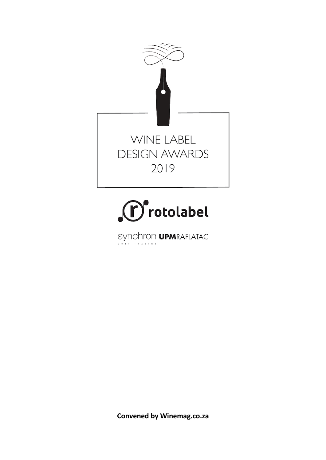



 $\begin{minipage}{.4\linewidth} \begin{tabular}{l} \bf SYNChron \; \textbf{UPM}RAFLATAC \end{tabular} \end{minipage}$ 

**Convened by Winemag.co.za**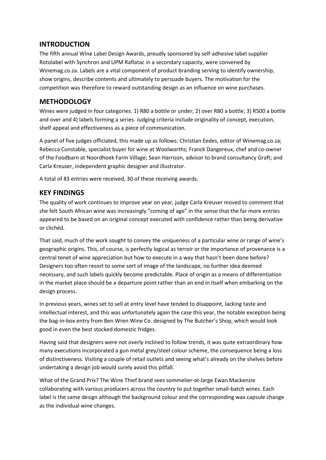# **INTRODUCTION**

The fifth annual Wine Label Design Awards, proudly sponsored by self-adhesive label supplier Rotolabel with Synchron and UPM Raflatac in a secondary capacity, were convened by Winemag.co.za. Labels are a vital component of product branding serving to identify ownership, show origins, describe contents and ultimately to persuade buyers. The motivation for the competition was therefore to reward outstanding design as an influence on wine purchases.

# **METHODOLOGY**

Wines were judged in four categories: 1) R80 a bottle or under; 2) over R80 a bottle; 3) R500 a bottle and over and 4) labels forming a series. Judging criteria include originality of concept, execution, shelf appeal and effectiveness as a piece of communication.

A panel of five judges officiated, this made up as follows: Christian Eedes, editor of Winemag.co.za; Rebecca Constable, specialist buyer for wine at Woolworths; Franck Dangereux, chef and co-owner of the Foodbarn at Noordhoek Farm Village; Sean Harrison, advisor to brand consultancy Graft; and Carla Kreuser, independent graphic designer and illustrator.

A total of 83 entries were received, 30 of these receiving awards.

# **KEY FINDINGS**

The quality of work continues to improve year on year, judge Carla Kreuser moved to comment that she felt South African wine was increasingly "coming of age" in the sense that the far more entries appeared to be based on an original concept executed with confidence rather than being derivative or clichéd.

That said, much of the work sought to convey the uniqueness of a particular wine or range of wine's geographic origins. This, of course, is perfectly logical as terroir or the importance of provenance is a central tenet of wine appreciation but how to execute in a way that hasn't been done before? Designers too often resort to some sort of image of the landscape, no further idea deemed necessary, and such labels quickly become predictable. Place of origin as a means of differentiation in the market place should be a departure point rather than an end in itself when embarking on the design process.

In previous years, wines set to sell at entry level have tended to disappoint, lacking taste and intellectual interest, and this was unfortunately again the case this year, the notable exception being the bag-in-box entry from Ben Wren Wine Co. designed by The Butcher's Shop, which would look good in even the best stocked domestic fridges.

Having said that designers were not overly inclined to follow trends, it was quite extraordinary how many executions incorporated a gun metal grey/steel colour scheme, the consequence being a loss of distinctiveness. Visiting a couple of retail outlets and seeing what's already on the shelves before undertaking a design job would surely avoid this pitfall.

What of the Grand Prix? The Wine Thief brand sees sommelier-at-large Ewan Mackenzie collaborating with various producers across the country to put together small-batch wines. Each label is the same design although the background colour and the corresponding wax capsule change as the individual wine changes.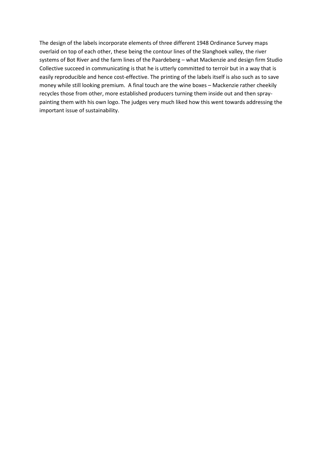The design of the labels incorporate elements of three different 1948 Ordinance Survey maps overlaid on top of each other, these being the contour lines of the Slanghoek valley, the river systems of Bot River and the farm lines of the Paardeberg – what Mackenzie and design firm Studio Collective succeed in communicating is that he is utterly committed to terroir but in a way that is easily reproducible and hence cost-effective. The printing of the labels itself is also such as to save money while still looking premium. A final touch are the wine boxes – Mackenzie rather cheekily recycles those from other, more established producers turning them inside out and then spraypainting them with his own logo. The judges very much liked how this went towards addressing the important issue of sustainability.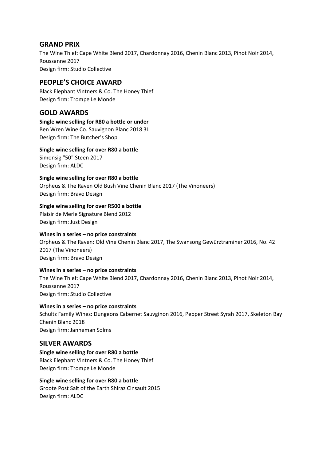## **GRAND PRIX**

The Wine Thief: Cape White Blend 2017, Chardonnay 2016, Chenin Blanc 2013, Pinot Noir 2014, Roussanne 2017 Design firm: Studio Collective

# **PEOPLE'S CHOICE AWARD**

Black Elephant Vintners & Co. The Honey Thief Design firm: Trompe Le Monde

# **GOLD AWARDS**

**Single wine selling for R80 a bottle or under** Ben Wren Wine Co. Sauvignon Blanc 2018 3L Design firm: The Butcher's Shop

**Single wine selling for over R80 a bottle** Simonsig "50" Steen 2017

Design firm: ALDC

**Single wine selling for over R80 a bottle** Orpheus & The Raven Old Bush Vine Chenin Blanc 2017 (The Vinoneers)

Design firm: Bravo Design

**Single wine selling for over R500 a bottle**

Plaisir de Merle Signature Blend 2012 Design firm: Just Design

#### **Wines in a series – no price constraints**

Orpheus & The Raven: Old Vine Chenin Blanc 2017, The Swansong Gewürztraminer 2016, No. 42 2017 (The Vinoneers) Design firm: Bravo Design

#### **Wines in a series – no price constraints**

The Wine Thief: Cape White Blend 2017, Chardonnay 2016, Chenin Blanc 2013, Pinot Noir 2014, Roussanne 2017 Design firm: Studio Collective

**Wines in a series – no price constraints** Schultz Family Wines: Dungeons Cabernet Sauvginon 2016, Pepper Street Syrah 2017, Skeleton Bay Chenin Blanc 2018 Design firm: Janneman Solms

## **SILVER AWARDS**

**Single wine selling for over R80 a bottle** Black Elephant Vintners & Co. The Honey Thief Design firm: Trompe Le Monde

**Single wine selling for over R80 a bottle** Groote Post Salt of the Earth Shiraz Cinsault 2015 Design firm: ALDC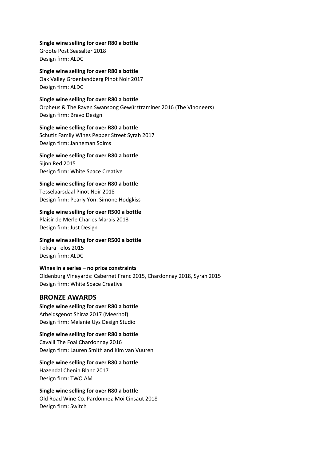**Single wine selling for over R80 a bottle** Groote Post Seasalter 2018 Design firm: ALDC

**Single wine selling for over R80 a bottle** Oak Valley Groenlandberg Pinot Noir 2017 Design firm: ALDC

**Single wine selling for over R80 a bottle** Orpheus & The Raven Swansong Gewürztraminer 2016 (The Vinoneers) Design firm: Bravo Design

**Single wine selling for over R80 a bottle** Schutlz Family Wines Pepper Street Syrah 2017 Design firm: Janneman Solms

**Single wine selling for over R80 a bottle** Sijnn Red 2015 Design firm: White Space Creative

**Single wine selling for over R80 a bottle** Tesselaarsdaal Pinot Noir 2018 Design firm: Pearly Yon: Simone Hodgkiss

**Single wine selling for over R500 a bottle** Plaisir de Merle Charles Marais 2013 Design firm: Just Design

**Single wine selling for over R500 a bottle** Tokara Telos 2015 Design firm: ALDC

**Wines in a series – no price constraints** Oldenburg Vineyards: Cabernet Franc 2015, Chardonnay 2018, Syrah 2015 Design firm: White Space Creative

## **BRONZE AWARDS**

**Single wine selling for over R80 a bottle** Arbeidsgenot Shiraz 2017 (Meerhof) Design firm: Melanie Uys Design Studio

**Single wine selling for over R80 a bottle** Cavalli The Foal Chardonnay 2016 Design firm: Lauren Smith and Kim van Vuuren

**Single wine selling for over R80 a bottle** Hazendal Chenin Blanc 2017 Design firm: TWO AM

**Single wine selling for over R80 a bottle** Old Road Wine Co. Pardonnez-Moi Cinsaut 2018 Design firm: Switch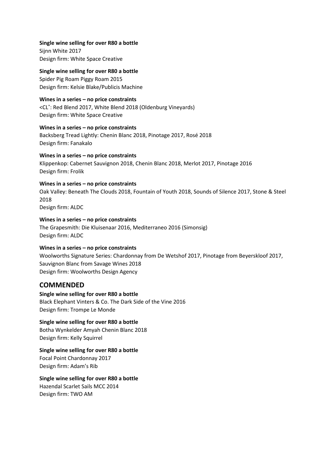**Single wine selling for over R80 a bottle** Sijnn White 2017 Design firm: White Space Creative

**Single wine selling for over R80 a bottle** Spider Pig Roam Piggy Roam 2015 Design firm: Kelsie Blake/Publicis Machine

**Wines in a series – no price constraints**

<CL˚: Red Blend 2017, White Blend 2018 (Oldenburg Vineyards) Design firm: White Space Creative

**Wines in a series – no price constraints** Backsberg Tread Lightly: Chenin Blanc 2018, Pinotage 2017, Rosé 2018 Design firm: Fanakalo

**Wines in a series – no price constraints** Klippenkop: Cabernet Sauvignon 2018, Chenin Blanc 2018, Merlot 2017, Pinotage 2016 Design firm: Frolik

**Wines in a series – no price constraints** Oak Valley: Beneath The Clouds 2018, Fountain of Youth 2018, Sounds of Silence 2017, Stone & Steel 2018 Design firm: ALDC

**Wines in a series – no price constraints** The Grapesmith: Die Kluisenaar 2016, Mediterraneo 2016 (Simonsig) Design firm: ALDC

**Wines in a series – no price constraints**

Woolworths Signature Series: Chardonnay from De Wetshof 2017, Pinotage from Beyerskloof 2017, Sauvignon Blanc from Savage Wines 2018 Design firm: Woolworths Design Agency

## **COMMENDED**

**Single wine selling for over R80 a bottle** Black Elephant Vinters & Co. The Dark Side of the Vine 2016 Design firm: Trompe Le Monde

**Single wine selling for over R80 a bottle** Botha Wynkelder Amyah Chenin Blanc 2018 Design firm: Kelly Squirrel

**Single wine selling for over R80 a bottle** Focal Point Chardonnay 2017 Design firm: Adam's Rib

**Single wine selling for over R80 a bottle** Hazendal Scarlet Sails MCC 2014 Design firm: TWO AM